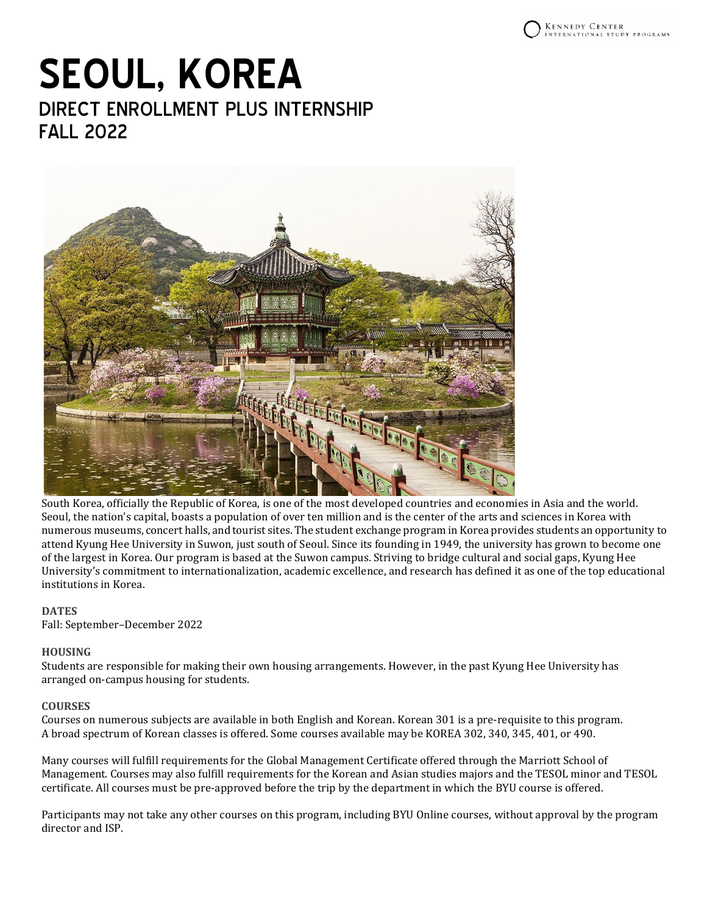# **SEOUL, KOREA** DIRECT ENROLLMENT PLUS INTERNSHIP FALL 2022



South Korea, officially the Republic of Korea, is one of the most developed countries and economies in Asia and the world. Seoul, the nation's capital, boasts a population of over ten million and is the center of the arts and sciences in Korea with numerous museums, concert halls, and tourist sites. The student exchange program in Korea provides students an opportunity to attend Kyung Hee University in Suwon, just south of Seoul. Since its founding in 1949, the university has grown to become one of the largest in Korea. Our program is based at the Suwon campus. Striving to bridge cultural and social gaps, Kyung Hee University's commitment to internationalization, academic excellence, and research has defined it as one of the top educational institutions in Korea.

## **DATES**

Fall: September–December 2022

## **HOUSING**

Students are responsible for making their own housing arrangements. However, in the past Kyung Hee University has arranged on-campus housing for students.

## **COURSES**

Courses on numerous subjects are available in both English and Korean. Korean 301 is a pre-requisite to this program. A broad spectrum of Korean classes is offered. Some courses available may be KOREA 302, 340, 345, 401, or 490.

Many courses will fulfill requirements for the Global Management Certificate offered through the Marriott School of Management. Courses may also fulfill requirements for the Korean and Asian studies majors and the TESOL minor and TESOL certificate. All courses must be pre-approved before the trip by the department in which the BYU course is offered.

Participants may not take any other courses on this program, including BYU Online courses, without approval by the program director and ISP.